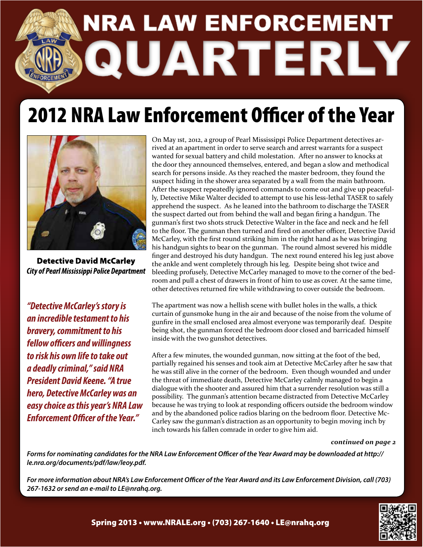

## 2012 NRA Law Enforcement Officer of the Year



**Detective David McCarley City of Pearl Mississippi Police Department** 

*"Detective McCarley's story is an incredible testament to his bravery, commitment to his fellow officers and willingness to risk his own life to take out a deadly criminal," said NRA President David Keene. "A true hero, Detective McCarley was an easy choice as this year's NRA Law Enforcement Officer of the Year."*

On May 1st, 2012, a group of Pearl Mississippi Police Department detectives arrived at an apartment in order to serve search and arrest warrants for a suspect wanted for sexual battery and child molestation. After no answer to knocks at the door they announced themselves, entered, and began a slow and methodical search for persons inside. As they reached the master bedroom, they found the suspect hiding in the shower area separated by a wall from the main bathroom. After the suspect repeatedly ignored commands to come out and give up peacefully, Detective Mike Walter decided to attempt to use his less-lethal TASER to safely apprehend the suspect. As he leaned into the bathroom to discharge the TASER the suspect darted out from behind the wall and began firing a handgun. The gunman's first two shots struck Detective Walter in the face and neck and he fell to the floor. The gunman then turned and fired on another officer, Detective David McCarley, with the first round striking him in the right hand as he was bringing his handgun sights to bear on the gunman. The round almost severed his middle finger and destroyed his duty handgun. The next round entered his leg just above the ankle and went completely through his leg. Despite being shot twice and bleeding profusely, Detective McCarley managed to move to the corner of the bedroom and pull a chest of drawers in front of him to use as cover. At the same time, other detectives returned fire while withdrawing to cover outside the bedroom.

The apartment was now a hellish scene with bullet holes in the walls, a thick curtain of gunsmoke hung in the air and because of the noise from the volume of gunfire in the small enclosed area almost everyone was temporarily deaf. Despite being shot, the gunman forced the bedroom door closed and barricaded himself inside with the two gunshot detectives.

After a few minutes, the wounded gunman, now sitting at the foot of the bed, partially regained his senses and took aim at Detective McCarley after he saw that he was still alive in the corner of the bedroom. Even though wounded and under the threat of immediate death, Detective McCarley calmly managed to begin a dialogue with the shooter and assured him that a surrender resolution was still a possibility. The gunman's attention became distracted from Detective McCarley because he was trying to look at responding officers outside the bedroom window and by the abandoned police radios blaring on the bedroom floor. Detective Mc-Carley saw the gunman's distraction as an opportunity to begin moving inch by inch towards his fallen comrade in order to give him aid.

### *continued on page 2*

*Forms for nominating candidates for the NRA Law Enforcement Officer of the Year Award may be downloaded at http:// le.nra.org/documents/pdf/law/leoy.pdf.* 

*For more information about NRA's Law Enforcement Officer of the Year Award and its Law Enforcement Division, call (703) 267-1632 or send an e-mail to LE@nrahq.org.*



Spring 2013 • www.NRALE.org • (703) 267-1640 • LE@nrahq.org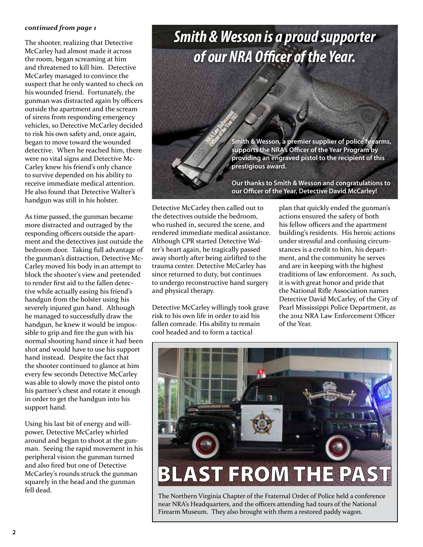### *continued from page 1*

The shooter, realizing that Detective McCarley had almost made it across the room, began screaming at him and threatened to kill him. Detective McCarley managed to convince the suspect that he only wanted to check on his wounded friend. Fortunately, the gunman was distracted again by officers outside the apartment and the scream of sirens from responding emergency vehicles, so Detective McCarley decided to risk his own safety and, once again, began to move toward the wounded detective. When he reached him, there were no vital signs and Detective Mc-Carley knew his friend's only chance to survive depended on his ability to receive immediate medical attention. He also found that Detective Walter's handgun was still in his holster.

As time passed, the gunman became more distracted and outraged by the responding officers outside the apartment and the detectives just outside the bedroom door. Taking full advantage of the gunman's distraction, Detective Mc-Carley moved his body in an attempt to block the shooter's view and pretended to render first aid to the fallen detective while actually easing his friend's handgun from the holster using his severely injured gun hand. Although he managed to successfully draw the handgun, he knew it would be impossible to grip and fire the gun with his normal shooting hand since it had been shot and would have to use his support hand instead. Despite the fact that the shooter continued to glance at him every few seconds Detective McCarley was able to slowly move the pistol onto his partner's chest and rotate it enough in order to get the handgun into his support hand.

Using his last bit of energy and willpower, Detective McCarley whirled around and began to shoot at the gunman. Seeing the rapid movement in his peripheral vision the gunman turned and also fired but one of Detective McCarley's rounds struck the gunman squarely in the head and the gunman fell dead.

### *Smith & Wesson is a proud supporter of our NRA Officer of the Year.*

**Smith & Wesson, a premier supplier of police firearms, supports the NRA's Officer of the Year Program by providing an engraved pistol to the recipient of this prestigious award.** 

**Our thanks to Smith & Wesson and congratulations to our Officer of the Year, Detective David McCarley!** 

Detective McCarley then called out to the detectives outside the bedroom, who rushed in, secured the scene, and rendered immediate medical assistance. Although CPR started Detective Walter's heart again, he tragically passed away shortly after being airlifted to the trauma center. Detective McCarley has since returned to duty, but continues to undergo reconstructive hand surgery and physical therapy.

Detective McCarley willingly took grave risk to his own life in order to aid his fallen comrade. His ability to remain cool headed and to form a tactical

plan that quickly ended the gunman's actions ensured the safety of both his fellow officers and the apartment building's residents. His heroic actions under stressful and confusing circumstances is a credit to him, his department, and the community he serves and are in keeping with the highest traditions of law enforcement. As such, it is with great honor and pride that the National Rifle Association names Detective David McCarley, of the City of Pearl Mississippi Police Department, as the 2012 NRA Law Enforcement Officer of the Year.



The Northern Virginia Chapter of the Fraternal Order of Police held a conference near NRA's Headquarters, and the officers attending had tours of the National Firearm Museum. They also brought with them a restored paddy wagon.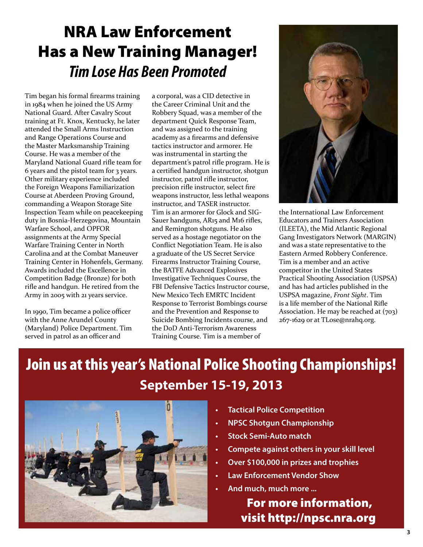## NRA Law Enforcement Has a New Training Manager! *Tim Lose Has Been Promoted*

Tim began his formal firearms training in 1984 when he joined the US Army National Guard. After Cavalry Scout training at Ft. Knox, Kentucky, he later attended the Small Arms Instruction and Range Operations Course and the Master Marksmanship Training Course. He was a member of the Maryland National Guard rifle team for 6 years and the pistol team for 3 years. Other military experience included the Foreign Weapons Familiarization Course at Aberdeen Proving Ground, commanding a Weapon Storage Site Inspection Team while on peacekeeping duty in Bosnia-Herzegovina, Mountain Warfare School, and OPFOR assignments at the Army Special Warfare Training Center in North Carolina and at the Combat Maneuver Training Center in Hohenfels, Germany. Awards included the Excellence in Competition Badge (Bronze) for both rifle and handgun. He retired from the Army in 2005 with 21 years service.

In 1990, Tim became a police officer with the Anne Arundel County (Maryland) Police Department. Tim served in patrol as an officer and

a corporal, was a CID detective in the Career Criminal Unit and the Robbery Squad, was a member of the department Quick Response Team, and was assigned to the training academy as a firearms and defensive tactics instructor and armorer. He was instrumental in starting the department's patrol rifle program. He is a certified handgun instructor, shotgun instructor, patrol rifle instructor, precision rifle instructor, select fire weapons instructor, less lethal weapons instructor, and TASER instructor. Tim is an armorer for Glock and SIG-Sauer handguns, AR15 and M16 rifles, and Remington shotguns. He also served as a hostage negotiator on the Conflict Negotiation Team. He is also a graduate of the US Secret Service Firearms Instructor Training Course, the BATFE Advanced Explosives Investigative Techniques Course, the FBI Defensive Tactics Instructor course, New Mexico Tech EMRTC Incident Response to Terrorist Bombings course and the Prevention and Response to Suicide Bombing Incidents course, and the DoD Anti-Terrorism Awareness Training Course. Tim is a member of



the International Law Enforcement Educators and Trainers Association (ILEETA), the Mid Atlantic Regional Gang Investigators Network (MARGIN) and was a state representative to the Eastern Armed Robbery Conference. Tim is a member and an active competitor in the United States Practical Shooting Association (USPSA) and has had articles published in the USPSA magazine, *Front Sight*. Tim is a life member of the National Rifle Association. He may be reached at (703) 267-1629 or at TLose@nrahq.org.

### Join us at this year's National Police Shooting Championships! **September 15-19, 2013**



- **• Tactical Police Competition**
- **NPSC Shotgun Championship**
- **• Stock Semi-Auto match**
- **• Compete against others in your skill level**
- **• Over \$100,000 in prizes and trophies**
- **• Law Enforcement Vendor Show**
- **• And much, much more ...**

 For more information, visit http://npsc.nra.org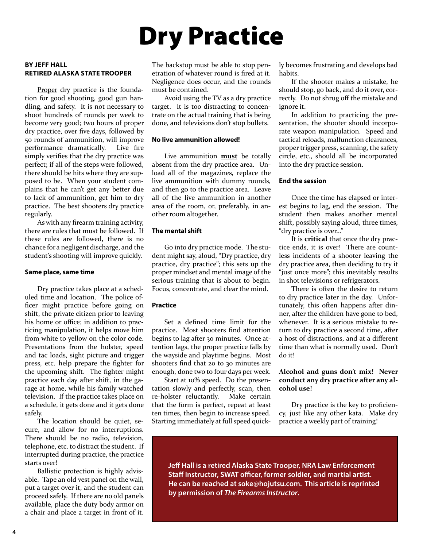## Dry Practice

### **By Jeff Hall Retired Alaska State Trooper**

Proper dry practice is the foundation for good shooting, good gun handling, and safety. It is not necessary to shoot hundreds of rounds per week to become very good; two hours of proper dry practice, over five days, followed by 50 rounds of ammunition, will improve performance dramatically. Live fire simply verifies that the dry practice was perfect; if all of the steps were followed, there should be hits where they are supposed to be. When your student complains that he can't get any better due to lack of ammunition, get him to dry practice. The best shooters dry practice regularly.

As with any firearm training activity, there are rules that must be followed. If these rules are followed, there is no chance for a negligent discharge, and the student's shooting will improve quickly.

### **Same place, same time**

Dry practice takes place at a scheduled time and location. The police officer might practice before going on shift, the private citizen prior to leaving his home or office; in addition to practicing manipulation, it helps move him from white to yellow on the color code. Presentations from the holster, speed and tac loads, sight picture and trigger press, etc. help prepare the fighter for the upcoming shift. The fighter might practice each day after shift, in the garage at home, while his family watched television. If the practice takes place on a schedule, it gets done and it gets done safely.

The location should be quiet, secure, and allow for no interruptions. There should be no radio, television, telephone, etc. to distract the student. If interrupted during practice, the practice starts over!

Ballistic protection is highly advisable. Tape an old vest panel on the wall, put a target over it, and the student can proceed safely. If there are no old panels available, place the duty body armor on a chair and place a target in front of it.

The backstop must be able to stop penetration of whatever round is fired at it. Negligence does occur, and the rounds must be contained.

Avoid using the TV as a dry practice target. It is too distracting to concentrate on the actual training that is being done, and televisions don't stop bullets.

#### **No live ammunition allowed!**

Live ammunition **must** be totally absent from the dry practice area. Unload all of the magazines, replace the live ammunition with dummy rounds, and then go to the practice area. Leave all of the live ammunition in another area of the room, or, preferably, in another room altogether.

### **The mental shift**

Go into dry practice mode. The student might say, aloud, "Dry practice, dry practice, dry practice"; this sets up the proper mindset and mental image of the serious training that is about to begin. Focus, concentrate, and clear the mind.

### **Practice**

Set a defined time limit for the practice. Most shooters find attention begins to lag after 30 minutes. Once attention lags, the proper practice falls by the wayside and playtime begins. Most shooters find that 20 to 30 minutes are enough, done two to four days per week.

Start at 10% speed. Do the presentation slowly and perfectly, scan, then re-holster reluctantly. Make certain that the form is perfect, repeat at least ten times, then begin to increase speed. Starting immediately at full speed quickly becomes frustrating and develops bad habits.

If the shooter makes a mistake, he should stop, go back, and do it over, correctly. Do not shrug off the mistake and ignore it.

In addition to practicing the presentation, the shooter should incorporate weapon manipulation. Speed and tactical reloads, malfunction clearances, proper trigger press, scanning, the safety circle, etc., should all be incorporated into the dry practice session.

### **End the session**

Once the time has elapsed or interest begins to lag, end the session. The student then makes another mental shift, possibly saying aloud, three times, "dry practice is over..."

It is **critical** that once the dry practice ends, it is over! There are countless incidents of a shooter leaving the dry practice area, then deciding to try it "just once more"; this inevitably results in shot televisions or refrigerators.

There is often the desire to return to dry practice later in the day. Unfortunately, this often happens after dinner, after the children have gone to bed, whenever. It is a serious mistake to return to dry practice a second time, after a host of distractions, and at a different time than what is normally used. Don't do it!

### **Alcohol and guns don't mix! Never conduct any dry practice after any alcohol use!**

Dry practice is the key to proficiency, just like any other kata. Make dry practice a weekly part of training!

**Jeff Hall is a retired Alaska State Trooper, NRA Law Enforcement Staff Instructor, SWAT officer, former soldier, and martial artist. He can be reached at soke@hojutsu.com. This article is reprinted by permission of** *The Firearms Instructor***.**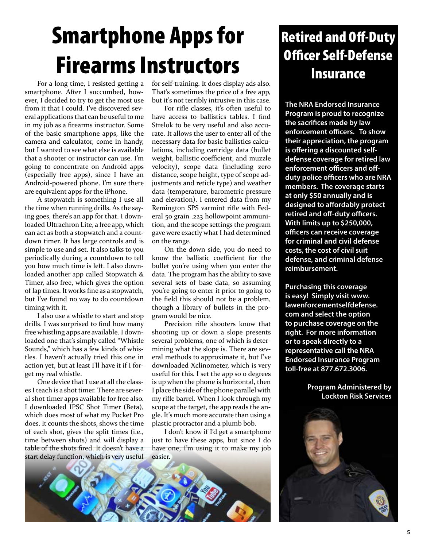## Smartphone Apps for Firearms Instructors

For a long time, I resisted getting a smartphone. After I succumbed, however, I decided to try to get the most use from it that I could. I've discovered several applications that can be useful to me in my job as a firearms instructor. Some of the basic smartphone apps, like the camera and calculator, come in handy, but I wanted to see what else is available that a shooter or instructor can use. I'm going to concentrate on Android apps (especially free apps), since I have an Android-powered phone. I'm sure there are equivalent apps for the iPhone.

A stopwatch is something I use all the time when running drills. As the saying goes, there's an app for that. I downloaded Ultrachron Lite, a free app, which can act as both a stopwatch and a countdown timer. It has large controls and is simple to use and set. It also talks to you periodically during a countdown to tell you how much time is left. I also downloaded another app called Stopwatch & Timer, also free, which gives the option of lap times. It works fine as a stopwatch, but I've found no way to do countdown timing with it.

I also use a whistle to start and stop drills. I was surprised to find how many free whistling apps are available. I downloaded one that's simply called "Whistle Sounds," which has a few kinds of whistles. I haven't actually tried this one in action yet, but at least I'll have it if I forget my real whistle.

One device that I use at all the classes I teach is a shot timer. There are several shot timer apps available for free also. I downloaded IPSC Shot Timer (Beta), which does most of what my Pocket Pro does. It counts the shots, shows the time of each shot, gives the split times (i.e., time between shots) and will display a table of the shots fired. It doesn't have a start delay function, which is very useful

for self-training. It does display ads also. That's sometimes the price of a free app, but it's not terribly intrusive in this case.

For rifle classes, it's often useful to have access to ballistics tables. I find Strelok to be very useful and also accurate. It allows the user to enter all of the necessary data for basic ballistics calculations, including cartridge data (bullet weight, ballistic coefficient, and muzzle velocity), scope data (including zero distance, scope height, type of scope adjustments and reticle type) and weather data (temperature, barometric pressure and elevation). I entered data from my Remington SPS varmint rifle with Federal 50 grain .223 hollowpoint ammunition, and the scope settings the program gave were exactly what I had determined on the range.

On the down side, you do need to know the ballistic coefficient for the bullet you're using when you enter the data. The program has the ability to save several sets of base data, so assuming you're going to enter it prior to going to the field this should not be a problem, though a library of bullets in the program would be nice.

Precision rifle shooters know that shooting up or down a slope presents several problems, one of which is determining what the slope is. There are several methods to approximate it, but I've downloaded Xclinometer, which is very useful for this. I set the app so 0 degrees is up when the phone is horizontal, then I place the side of the phone parallel with my rifle barrel. When I look through my scope at the target, the app reads the angle. It's much more accurate than using a plastic protractor and a plumb bob.

I don't know if I'd get a smartphone just to have these apps, but since I do have one, I'm using it to make my job easier.



### Retired and Off-Duty Officer Self-Defense Insurance

**The NRA Endorsed Insurance Program is proud to recognize the sacrifices made by law enforcement officers. To show their appreciation, the program is offering a discounted selfdefense coverage for retired law enforcement officers and offduty police officers who are NRA members. The coverage starts at only \$50 annually and is designed to affordably protect retired and off-duty officers. With limits up to \$250,000, officers can receive coverage for criminal and civil defense costs, the cost of civil suit defense, and criminal defense reimbursement.**

**Purchasing this coverage is easy! Simply visit www. lawenforcementselfdefense. com and select the option to purchase coverage on the right. For more information or to speak directly to a representative call the NRA Endorsed Insurance Program toll-free at 877.672.3006.**

> **Program Administered by Lockton Risk Services**

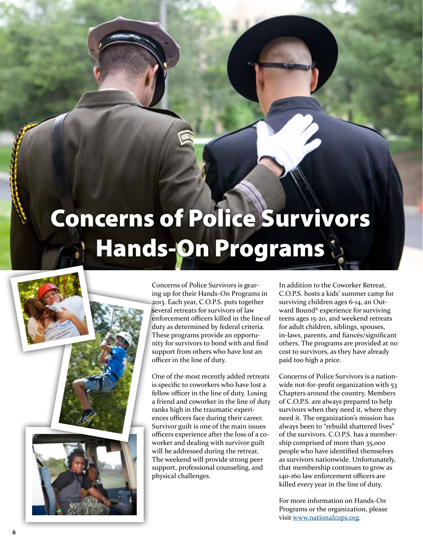# Concerns of Police Survivors Hands-On Programs



Concerns of Police Survivors is gearing up for their Hands-On Programs in 2013. Each year, C.O.P.S. puts together several retreats for survivors of law enforcement officers killed in the line of duty as determined by federal criteria. These programs provide an opportunity for survivors to bond with and find support from others who have lost an officer in the line of duty.

One of the most recently added retreats is specific to coworkers who have lost a fellow officer in the line of duty. Losing a friend and coworker in the line of duty ranks high in the traumatic experiences officers face during their career. Survivor guilt is one of the main issues officers experience after the loss of a coworker and dealing with survivor guilt will be addressed during the retreat. The weekend will provide strong peer support, professional counseling, and physical challenges.

In addition to the Coworker Retreat, C.O.P.S. hosts a kids' summer camp for surviving children ages 6-14, an Outward Bound® experience for surviving teens ages 15-20, and weekend retreats for adult children, siblings, spouses, in-laws, parents, and fiancés/significant others. The programs are provided at no cost to survivors, as they have already paid too high a price.

Concerns of Police Survivors is a nationwide not-for-profit organization with 53 Chapters around the country. Members of C.O.P.S. are always prepared to help survivors when they need it, where they need it. The organization's mission has always been to "rebuild shattered lives" of the survivors. C.O.P.S. has a membership comprised of more than 35,000 people who have identified themselves as survivors nationwide. Unfortunately, that membership continues to grow as 140-160 law enforcement officers are killed every year in the line of duty.

For more information on Hands-On Programs or the organization, please visit www.nationalcops.org.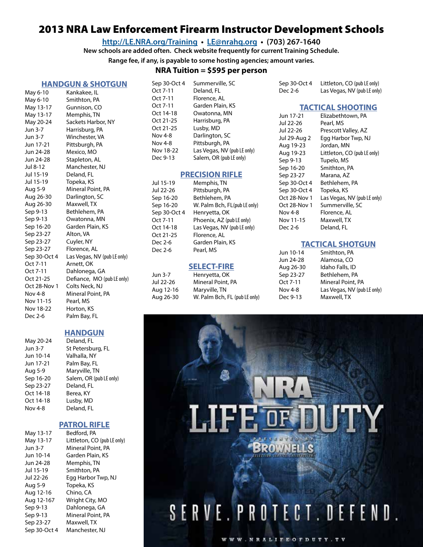### 2013 NRA Law Enforcement Firearm Instructor Development Schools

**http://LE.NRA.org/Training • LE@nrahq.org • (703) 267-1640**

**New schools are added often. Check website frequently for current Training Schedule.**

**Range fee, if any, is payable to some hosting agencies; amount varies.**

### **NRATuition = \$595 per person**

### **HANDGUN & SHOTGUN**

| May 6-10     | Kankakee, IL                |
|--------------|-----------------------------|
| May 6-10     | Smithton, PA                |
| May 13-17    | Gunnison, CO                |
| May 13-17    | Memphis, TN                 |
| May 20-24    | Sackets Harbor, NY          |
| Jun 3-7      | Harrisburg, PA              |
| Jun 3-7      | Winchester, VA              |
| Jun 17-21    | Pittsburgh, PA              |
| Jun 24-28    | Mexico, MO                  |
| Jun 24-28    | Stapleton, AL               |
| Jul 8-12     | Manchester, NJ              |
| Jul 15-19    | Deland, FL                  |
| Jul 15-19    | Topeka, KS                  |
| Aug 5-9      | Mineral Point, PA           |
| Aug 26-30    | Darlington, SC              |
| Aug 26-30    | Maxwell, TX                 |
| Sep 9-13     | Bethlehem, PA               |
| Sep 9-13     | Owatonna, MN                |
| Sep 16-20    | Garden Plain, KS            |
| Sep 23-27    | Alton, VA                   |
| Sep 23-27    | Cuyler, NY                  |
| Sep 23-27    | Florence, AL                |
| Sep 30-Oct 4 | Las Vegas, NV (pub LE only) |
| Oct 7-11     | Arnett, OK                  |
| Oct 7-11     | Dahlonega, GA               |
| Oct 21-25    | Defiance, MO (pub LE only)  |
| Oct 28-Nov 1 | Colts Neck, NJ              |
| Nov 4-8      | Mineral Point, PA           |
| Nov 11-15    | Pearl, MS                   |
| Nov 18-22    | Horton, KS                  |
| Dec 2-6      | Palm Bay, FL                |
|              |                             |

### **HANDGUN**

| May 20-24      | Deland, FL              |
|----------------|-------------------------|
| Jun 3-7        | St Petersburg, FL       |
| Jun 10-14      | Valhalla, NY            |
| Jun 17-21      | Palm Bay, FL            |
| Aug 5-9        | Maryville, TN           |
| Sep 16-20      | Salem, OR (pub LE only) |
| Sep 23-27      | Deland, FL              |
| Oct 14-18      | Berea, KY               |
| Oct 14-18      | Lusby, MD               |
| <b>Nov 4-8</b> | Deland, FL              |
|                |                         |

#### **PATROL RIFLE**

| May 13-17    | Bedford, PA                 |
|--------------|-----------------------------|
| May 13-17    | Littleton, CO (pub LE only) |
| Jun 3-7      | Mineral Point, PA           |
| Jun 10-14    | Garden Plain, KS            |
| Jun 24-28    | Memphis, TN                 |
| Jul 15-19    | Smithton, PA                |
| Jul 22-26    | Egg Harbor Twp, NJ          |
| Aug 5-9      | Topeka, KS                  |
| Aug 12-16    | Chino, CA                   |
| Aug 12-167   | Wright City, MO             |
| Sep 9-13     | Dahlonega, GA               |
| Sep 9-13     | Mineral Point, PA           |
| Sep 23-27    | Maxwell, TX                 |
| Sep 30-Oct 4 | Manchester, NJ              |

| Sep 30-Oct 4 | Summerville, SC             |
|--------------|-----------------------------|
| Oct 7-11     | Deland, FL                  |
| Oct 7-11     | Florence, AL                |
| Oct 7-11     | Garden Plain, KS            |
| Oct 14-18    | Owatonna, MN                |
| Oct 21-25    | Harrisburg, PA              |
| Oct 21-25    | Lusby, MD                   |
| Nov 4-8      | Darlington, SC              |
| Nov 4-8      | Pittsburgh, PA              |
| Nov 18-22    | Las Vegas, NV (pub LE only) |
| Dec 9-13     | Salem, OR (pub LE only)     |
|              |                             |

#### **PRECISION RIFLE**

| Jul 15-19    | Memphis, TN                  |
|--------------|------------------------------|
| Jul 22-26    | Pittsburgh, PA               |
| Sep 16-20    | Bethlehem, PA                |
| Sep 16-20    | W. Palm Bch, FL(pub LE only) |
| Sep 30-Oct 4 | Henryetta, OK                |
| Oct 7-11     | Phoenix, AZ (pub LE only)    |
| Oct 14-18    | Las Vegas, NV (pub LE only)  |
| Oct 21-25    | Florence, AL                 |
| Dec 2-6      | Garden Plain, KS             |
| Dec 2-6      | Pearl, MS                    |
|              |                              |

### **SELECT-FIRE**

| Jun 3-7   | Henryetta, OK                 |
|-----------|-------------------------------|
| Jul 22-26 | Mineral Point, PA             |
| Aug 12-16 | Maryville, TN                 |
| Aug 26-30 | W. Palm Bch, FL (pub LE only) |

| Sep 30-Oct 4 | Littleton, CO (pub LE only) |
|--------------|-----------------------------|
| Dec 2-6      | Las Vegas, NV (pub LE only) |

#### **TACTICAL SHOOTING**

| Jun 17-21    | Elizabethtown, PA           |
|--------------|-----------------------------|
| Jul 22-26    | Pearl, MS                   |
| Jul 22-26    | Prescott Valley, AZ         |
| Jul 29-Aug 2 | Egg Harbor Twp, NJ          |
| Aug 19-23    | Jordan, MN                  |
| Aug 19-23    | Littleton, CO (pub LE only) |
| Sep 9-13     | Tupelo, MS                  |
| Sep 16-20    | Smithton, PA                |
| Sep 23-27    | Marana, AZ                  |
| Sep 30-Oct 4 | Bethlehem, PA               |
| Sep 30-Oct 4 | Topeka, KS                  |
| Oct 28-Nov 1 | Las Vegas, NV (pub LE only) |
| Oct 28-Nov 1 | Summerville, SC             |
| Nov 4-8      | Florence, AL                |
| Nov 11-15    | Maxwell, TX                 |
| Dec 2-6      | Deland, FL                  |
|              |                             |

### **TACTICAL SHOTGUN**

| Jun 10-14 | Smithton, PA                |
|-----------|-----------------------------|
| Jun 24-28 | Alamosa, CO                 |
| Aug 26-30 | Idaho Falls, ID             |
| Sep 23-27 | Bethlehem, PA               |
| Oct 7-11  | Mineral Point, PA           |
| Nov 4-8   | Las Vegas, NV (pub LE only) |
| Dec 9-13  | Maxwell, TX                 |
|           |                             |